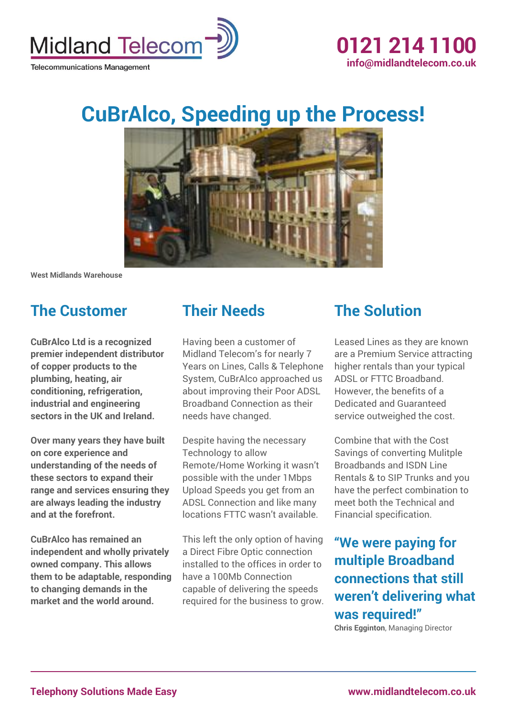

# **CuBrAlco, Speeding up the Process!**



**West Midlands Warehouse**

### **The Customer**

**CuBrAlco Ltd is a recognized premier independent distributor of copper products to the plumbing, heating, air conditioning, refrigeration, industrial and engineering sectors in the UK and Ireland.**

**Over many years they have built on core experience and understanding of the needs of these sectors to expand their range and services ensuring they are always leading the industry and at the forefront.**

**CuBrAlco has remained an independent and wholly privately owned company. This allows them to be adaptable, responding to changing demands in the market and the world around.**

#### **Their Needs**

Having been a customer of Midland Telecom's for nearly 7 Years on Lines, Calls & Telephone System, CuBrAlco approached us about improving their Poor ADSL Broadband Connection as their needs have changed.

Despite having the necessary Technology to allow Remote/Home Working it wasn't possible with the under 1Mbps Upload Speeds you get from an ADSL Connection and like many locations FTTC wasn't available.

This left the only option of having a Direct Fibre Optic connection installed to the offices in order to have a 100Mb Connection capable of delivering the speeds required for the business to grow.

#### **The Solution**

Leased Lines as they are known are a Premium Service attracting higher rentals than your typical ADSL or FTTC Broadband. However, the benefits of a Dedicated and Guaranteed service outweighed the cost.

Combine that with the Cost Savings of converting Mulitple Broadbands and ISDN Line Rentals & to SIP Trunks and you have the perfect combination to meet both the Technical and Financial specification.

**"We were paying for multiple Broadband connections that still weren't delivering what was required!"**

**Chris Egginton**, Managing Director